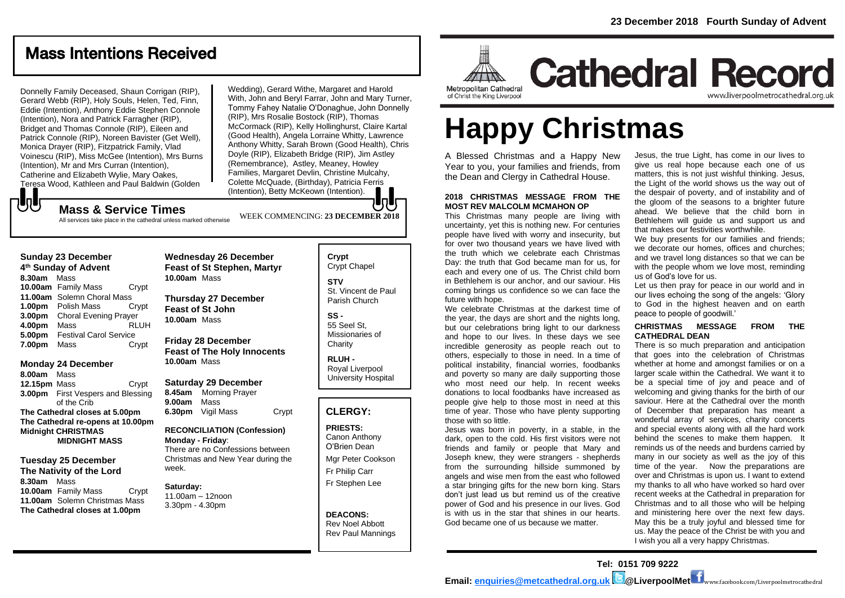## Mass Intentions Received

Donnelly Family Deceased, Shaun Corrigan (RIP), Gerard Webb (RIP), Holy Souls, Helen, Ted, Finn, Eddie (Intention), Anthony Eddie Stephen Connole (Intention), Nora and Patrick Farragher (RIP), Bridget and Thomas Connole (RIP), Eileen and Patrick Connole (RIP), Noreen Bavister (Get Well), Monica Drayer (RIP), Fitzpatrick Family, Vlad Voinescu (RIP), Miss McGee (Intention), Mrs Burns (Intention), Mr and Mrs Curran (Intention), Catherine and Elizabeth Wylie, Mary Oakes, Teresa Wood, Kathleen and Paul Baldwin (Golden

**Sunday 23 December 4 th Sunday of Advent 8.30am** Mass

もし

**Monday 24 December**

**Midnight CHRISTMAS** 

**Tuesday 25 December The Nativity of the Lord**

**Tuesday 26 December**

**8.00am** Mass

**8.30am** Mass

**10.00am** Family Mass Crypt **11.00am** Solemn Choral Mass **1.00pm** Polish Mass Crypt **3.00pm** Choral Evening Prayer **4.00pm** Mass RLUH **5.00pm** Festival Carol Service **7.00pm** Mass Crypt

**12.15pm** Mass **Crypt** 

**MIDNIGHT MASS**

**10.00am** Family Mass Crypt **11.00am** Solemn Christmas Mass **The Cathedral closes at 1.00pm**

of the Crib **The Cathedral closes at 5.00pm The Cathedral re-opens at 10.00pm**

Wedding), Gerard Withe, Margaret and Harold With, John and Beryl Farrar, John and Mary Turner, Tommy Fahey Natalie O'Donaghue, John Donnelly (RIP), Mrs Rosalie Bostock (RIP), Thomas McCormack (RIP), Kelly Hollinghurst, Claire Kartal (Good Health), Angela Lorraine Whitty, Lawrence Anthony Whitty, Sarah Brown (Good Health), Chris Doyle (RIP), Elizabeth Bridge (RIP), Jim Astley (Remembrance), Astley, Meaney, Howley Families, Margaret Devlin, Christine Mulcahy, Colette McQuade, (Birthday), Patricia Ferris (Intention), Betty McKeown (Intention).

WEEK COMMENCING: **23 DECEMBER 2018**

**Mass & Service Times**

### All services take place in the cathedral unless marked otherwise

### **Wednesday 26 December Feast of St Stephen, Martyr 10.00am** Mass

**Thursday 27 December Feast of St John 10.00am** Mass

### **Friday 28 December Feast of The Holy Innocents 10.00am** Mass

**3.00pm** First Vespers and Blessing **Saturday 29 December 8.45am** Morning Prayer **9.00am** Mass **6.30pm** Vigil Mass Crypt

### **RECONCILIATION (Confession) Monday - Friday**: There are no Confessions between

Christmas and New Year during the week.

### **Saturday:**

11.00am – 12noon 3.30pm - 4.30pm

### **Crypt**  Crypt Chapel **STV**

St. Vincent de Paul Parish Church

## **SS -**

55 Seel St, Missionaries of **Charity** 

#### **RLUH -** Royal Liverpool University Hospital

### **CLERGY:**

### **PRIESTS:**

Canon Anthony O'Brien *Dean*

Mgr Peter Cookson Fr Philip Carr Fr Stephen Lee

### **DEACONS:** Rev Noel Abbott Rev Paul Mannings



# **Happy Christmas**

A Blessed Christmas and a Happy New Year to you, your families and friends, from the Dean and Clergy in Cathedral House.

### **2018 CHRISTMAS MESSAGE FROM THE MOST REV MALCOLM MCMAHON OP**

This Christmas many people are living with uncertainty, yet this is nothing new. For centuries people have lived with worry and insecurity, but for over two thousand years we have lived with the truth which we celebrate each Christmas Day: the truth that God became man for us, for each and every one of us. The Christ child born in Bethlehem is our anchor, and our saviour. His coming brings us confidence so we can face the future with hope.

We celebrate Christmas at the darkest time of the year, the days are short and the nights long, but our celebrations bring light to our darkness and hope to our lives. In these days we see incredible generosity as people reach out to others, especially to those in need. In a time of political instability, financial worries, foodbanks and poverty so many are daily supporting those who most need our help. In recent weeks donations to local foodbanks have increased as people give help to those most in need at this time of year. Those who have plenty supporting those with so little.

Jesus was born in poverty, in a stable, in the dark, open to the cold. His first visitors were not friends and family or people that Mary and Joseph knew, they were strangers - shepherds from the surrounding hillside summoned by angels and wise men from the east who followed a star bringing gifts for the new born king. Stars don't just lead us but remind us of the creative power of God and his presence in our lives. God is with us in the star that shines in our hearts. God became one of us because we matter.

Jesus, the true Light, has come in our lives to give us real hope because each one of us matters, this is not just wishful thinking. Jesus, the Light of the world shows us the way out of the despair of poverty, and of instability and of the gloom of the seasons to a brighter future ahead. We believe that the child born in Bethlehem will guide us and support us and that makes our festivities worthwhile.

We buy presents for our families and friends; we decorate our homes, offices and churches; and we travel long distances so that we can be with the people whom we love most, reminding us of God's love for us.

Let us then pray for peace in our world and in our lives echoing the song of the angels: 'Glory to God in the highest heaven and on earth peace to people of goodwill.'

### **CHRISTMAS MESSAGE FROM THE CATHEDRAL DEAN**

There is so much preparation and anticipation that goes into the celebration of Christmas whether at home and amongst families or on a larger scale within the Cathedral. We want it to be a special time of joy and peace and of welcoming and giving thanks for the birth of our saviour. Here at the Cathedral over the month of December that preparation has meant a wonderful array of services, charity concerts and special events along with all the hard work behind the scenes to make them happen. It reminds us of the needs and burdens carried by many in our society as well as the joy of this time of the year. Now the preparations are over and Christmas is upon us. I want to extend my thanks to all who have worked so hard over recent weeks at the Cathedral in preparation for Christmas and to all those who will be helping and ministering here over the next few days. May this be a truly joyful and blessed time for us. May the peace of the Christ be with you and I wish you all a very happy Christmas.